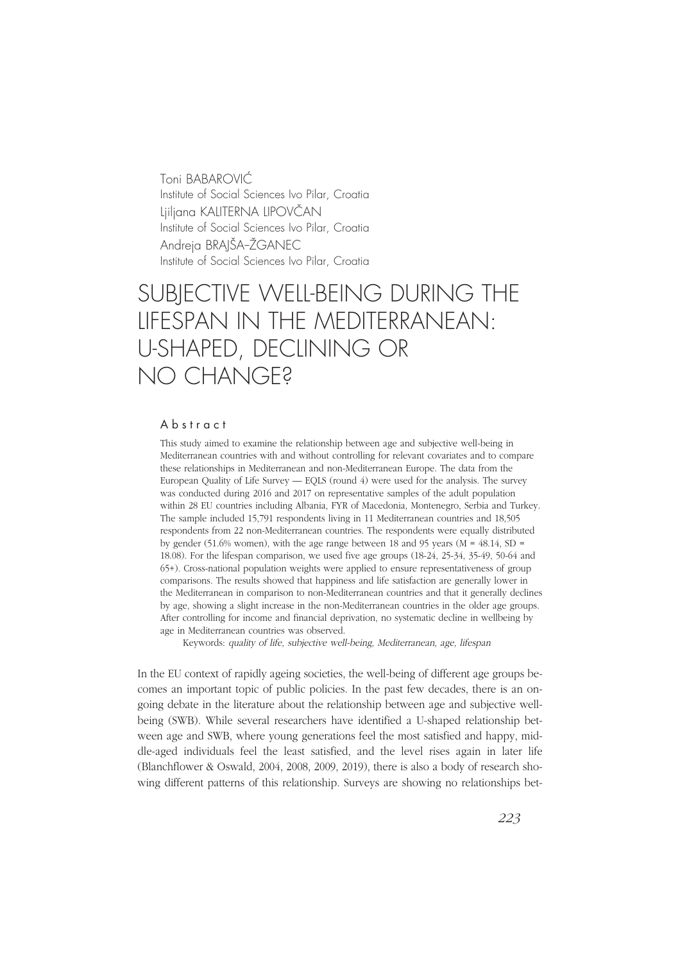Toni BABAROVIĆ Institute of Social Sciences Ivo Pilar, Croatia Ljiljana KALITERNA LIPOVČAN Institute of Social Sciences Ivo Pilar, Croatia Andreia BRAIŠA-ŽGANEC Institute of Social Sciences Ivo Pilar, Croatia

# SUBJECTIVE WELL-BEING DURING THE LIFESPAN IN THE MEDITERRANEAN: U-SHAPED, DECLINING OR NO CHANGE?

#### A b s t r a c t

This study aimed to examine the relationship between age and subjective well-being in Mediterranean countries with and without controlling for relevant covariates and to compare these relationships in Mediterranean and non-Mediterranean Europe. The data from the European Quality of Life Survey — EQLS (round 4) were used for the analysis. The survey was conducted during 2016 and 2017 on representative samples of the adult population within 28 EU countries including Albania, FYR of Macedonia, Montenegro, Serbia and Turkey. The sample included 15,791 respondents living in 11 Mediterranean countries and 18,505 respondents from 22 non-Mediterranean countries. The respondents were equally distributed by gender (51.6% women), with the age range between 18 and 95 years ( $M = 48.14$ , SD = 18.08). For the lifespan comparison, we used five age groups (18-24, 25-34, 35-49, 50-64 and 65+). Cross-national population weights were applied to ensure representativeness of group comparisons. The results showed that happiness and life satisfaction are generally lower in the Mediterranean in comparison to non-Mediterranean countries and that it generally declines by age, showing a slight increase in the non-Mediterranean countries in the older age groups. After controlling for income and financial deprivation, no systematic decline in wellbeing by age in Mediterranean countries was observed.

Keywords: quality of life, subjective well-being, Mediterranean, age, lifespan

In the EU context of rapidly ageing societies, the well-being of different age groups becomes an important topic of public policies. In the past few decades, there is an ongoing debate in the literature about the relationship between age and subjective wellbeing (SWB). While several researchers have identified a U-shaped relationship between age and SWB, where young generations feel the most satisfied and happy, middle-aged individuals feel the least satisfied, and the level rises again in later life (Blanchflower & Oswald, 2004, 2008, 2009, 2019), there is also a body of research showing different patterns of this relationship. Surveys are showing no relationships bet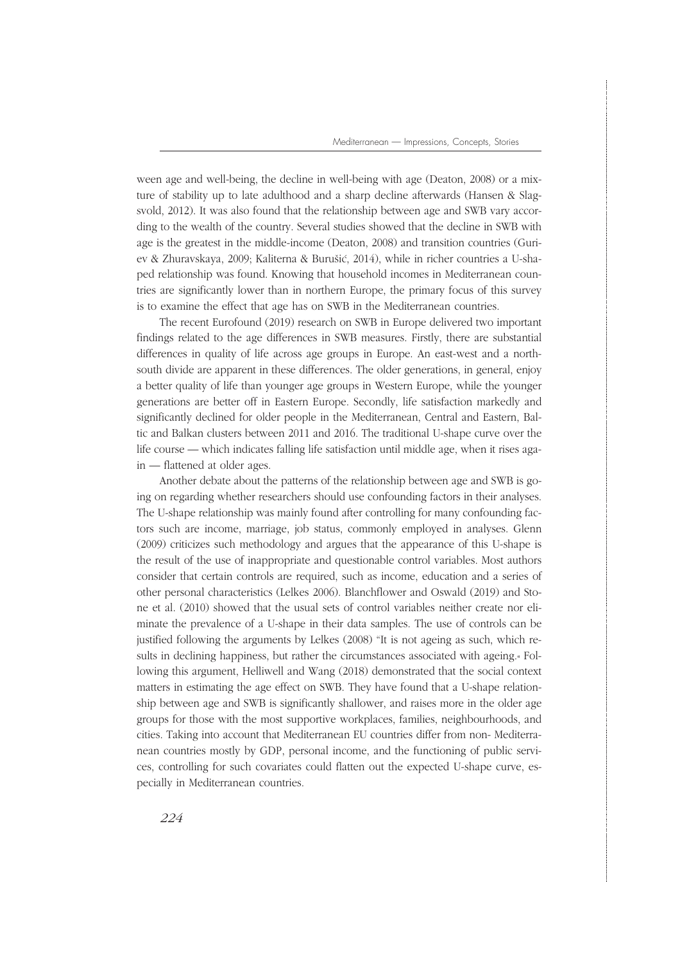ween age and well-being, the decline in well-being with age (Deaton, 2008) or a mixture of stability up to late adulthood and a sharp decline afterwards (Hansen & Slagsvold, 2012). It was also found that the relationship between age and SWB vary according to the wealth of the country. Several studies showed that the decline in SWB with age is the greatest in the middle-income (Deaton, 2008) and transition countries (Guriev & Zhuravskaya, 2009; Kaliterna & Burušić, 2014), while in richer countries a U-shaped relationship was found. Knowing that household incomes in Mediterranean countries are significantly lower than in northern Europe, the primary focus of this survey is to examine the effect that age has on SWB in the Mediterranean countries.

The recent Eurofound (2019) research on SWB in Europe delivered two important findings related to the age differences in SWB measures. Firstly, there are substantial differences in quality of life across age groups in Europe. An east-west and a northsouth divide are apparent in these differences. The older generations, in general, enjoy a better quality of life than younger age groups in Western Europe, while the younger generations are better off in Eastern Europe. Secondly, life satisfaction markedly and significantly declined for older people in the Mediterranean, Central and Eastern, Baltic and Balkan clusters between 2011 and 2016. The traditional U-shape curve over the life course — which indicates falling life satisfaction until middle age, when it rises again — flattened at older ages.

Another debate about the patterns of the relationship between age and SWB is going on regarding whether researchers should use confounding factors in their analyses. The U-shape relationship was mainly found after controlling for many confounding factors such are income, marriage, job status, commonly employed in analyses. Glenn (2009) criticizes such methodology and argues that the appearance of this U-shape is the result of the use of inappropriate and questionable control variables. Most authors consider that certain controls are required, such as income, education and a series of other personal characteristics (Lelkes 2006). Blanchflower and Oswald (2019) and Stone et al. (2010) showed that the usual sets of control variables neither create nor eliminate the prevalence of a U-shape in their data samples. The use of controls can be justified following the arguments by Lelkes (2008) "It is not ageing as such, which results in declining happiness, but rather the circumstances associated with ageing.« Following this argument, Helliwell and Wang (2018) demonstrated that the social context matters in estimating the age effect on SWB. They have found that a U-shape relationship between age and SWB is significantly shallower, and raises more in the older age groups for those with the most supportive workplaces, families, neighbourhoods, and cities. Taking into account that Mediterranean EU countries differ from non- Mediterranean countries mostly by GDP, personal income, and the functioning of public services, controlling for such covariates could flatten out the expected U-shape curve, especially in Mediterranean countries.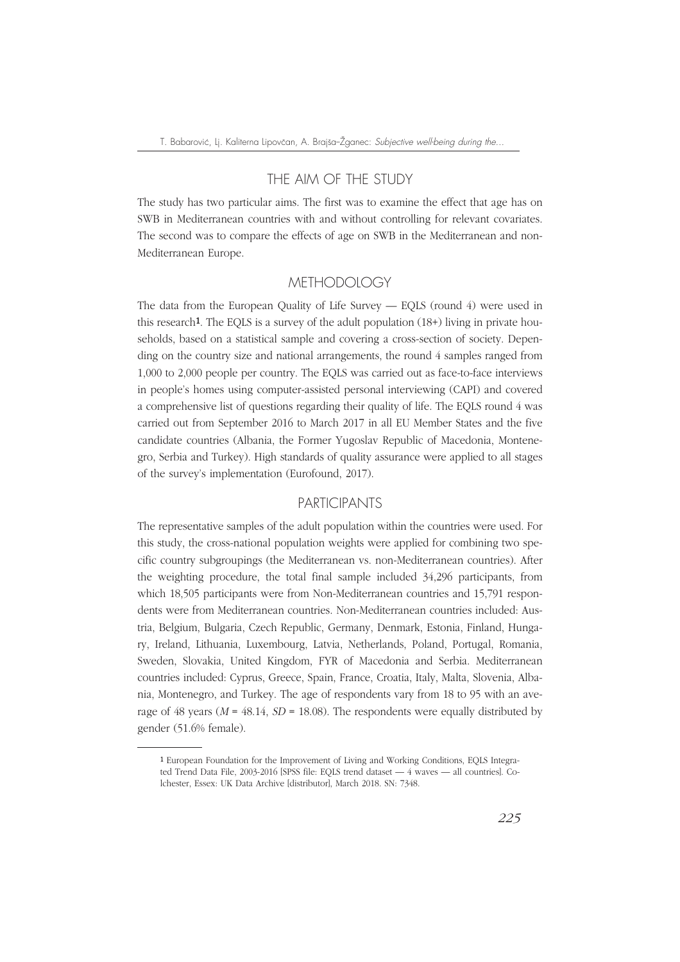# THE AIM OF THE STUDY

The study has two particular aims. The first was to examine the effect that age has on SWB in Mediterranean countries with and without controlling for relevant covariates. The second was to compare the effects of age on SWB in the Mediterranean and non-Mediterranean Europe.

# **METHODOLOGY**

The data from the European Quality of Life Survey — EQLS (round 4) were used in this research<sup>1</sup>. The EQLS is a survey of the adult population  $(18+)$  living in private households, based on a statistical sample and covering a cross-section of society. Depending on the country size and national arrangements, the round 4 samples ranged from 1,000 to 2,000 people per country. The EQLS was carried out as face-to-face interviews in people's homes using computer-assisted personal interviewing (CAPI) and covered a comprehensive list of questions regarding their quality of life. The EQLS round 4 was carried out from September 2016 to March 2017 in all EU Member States and the five candidate countries (Albania, the Former Yugoslav Republic of Macedonia, Montenegro, Serbia and Turkey). High standards of quality assurance were applied to all stages of the survey's implementation (Eurofound, 2017).

# PARTICIPANTS

The representative samples of the adult population within the countries were used. For this study, the cross-national population weights were applied for combining two specific country subgroupings (the Mediterranean vs. non-Mediterranean countries). After the weighting procedure, the total final sample included 34,296 participants, from which 18,505 participants were from Non-Mediterranean countries and 15,791 respondents were from Mediterranean countries. Non-Mediterranean countries included: Austria, Belgium, Bulgaria, Czech Republic, Germany, Denmark, Estonia, Finland, Hungary, Ireland, Lithuania, Luxembourg, Latvia, Netherlands, Poland, Portugal, Romania, Sweden, Slovakia, United Kingdom, FYR of Macedonia and Serbia. Mediterranean countries included: Cyprus, Greece, Spain, France, Croatia, Italy, Malta, Slovenia, Albania, Montenegro, and Turkey. The age of respondents vary from 18 to 95 with an average of 48 years ( $M = 48.14$ ,  $SD = 18.08$ ). The respondents were equally distributed by gender (51.6% female).

<sup>1</sup> European Foundation for the Improvement of Living and Working Conditions, EQLS Integrated Trend Data File, 2003-2016 [SPSS file: EQLS trend dataset — 4 waves — all countries]. Colchester, Essex: UK Data Archive [distributor], March 2018. SN: 7348.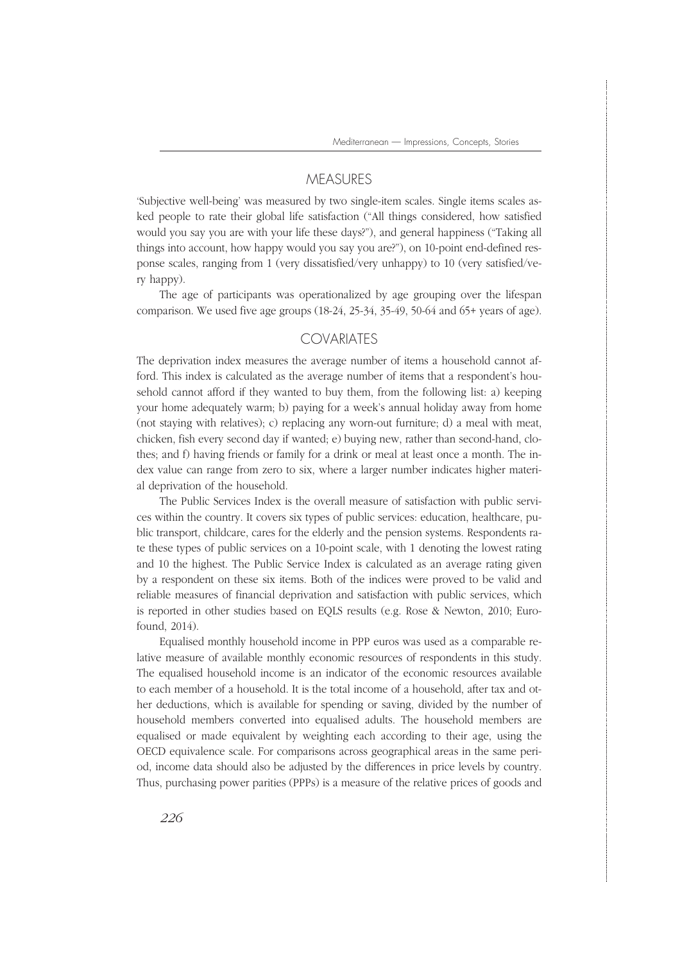Mediterranean — Impressions, Concepts, Stories

#### **MEASURES**

'Subjective well-being' was measured by two single-item scales. Single items scales asked people to rate their global life satisfaction ("All things considered, how satisfied would you say you are with your life these days?"), and general happiness ("Taking all things into account, how happy would you say you are?"), on 10-point end-defined response scales, ranging from 1 (very dissatisfied/very unhappy) to 10 (very satisfied/very happy).

The age of participants was operationalized by age grouping over the lifespan comparison. We used five age groups  $(18-24, 25-34, 35-49, 50-64, 406)$  and  $(5+)$  years of age).

## **COVARIATES**

The deprivation index measures the average number of items a household cannot afford. This index is calculated as the average number of items that a respondent's household cannot afford if they wanted to buy them, from the following list: a) keeping your home adequately warm; b) paying for a week's annual holiday away from home (not staying with relatives); c) replacing any worn-out furniture; d) a meal with meat, chicken, fish every second day if wanted; e) buying new, rather than second-hand, clothes; and f) having friends or family for a drink or meal at least once a month. The index value can range from zero to six, where a larger number indicates higher material deprivation of the household.

The Public Services Index is the overall measure of satisfaction with public services within the country. It covers six types of public services: education, healthcare, public transport, childcare, cares for the elderly and the pension systems. Respondents rate these types of public services on a 10-point scale, with 1 denoting the lowest rating and 10 the highest. The Public Service Index is calculated as an average rating given by a respondent on these six items. Both of the indices were proved to be valid and reliable measures of financial deprivation and satisfaction with public services, which is reported in other studies based on EQLS results (e.g. Rose & Newton, 2010; Eurofound, 2014).

Equalised monthly household income in PPP euros was used as a comparable relative measure of available monthly economic resources of respondents in this study. The equalised household income is an indicator of the economic resources available to each member of a household. It is the total income of a household, after tax and other deductions, which is available for spending or saving, divided by the number of household members converted into equalised adults. The household members are equalised or made equivalent by weighting each according to their age, using the OECD equivalence scale. For comparisons across geographical areas in the same period, income data should also be adjusted by the differences in price levels by country. Thus, purchasing power parities (PPPs) is a measure of the relative prices of goods and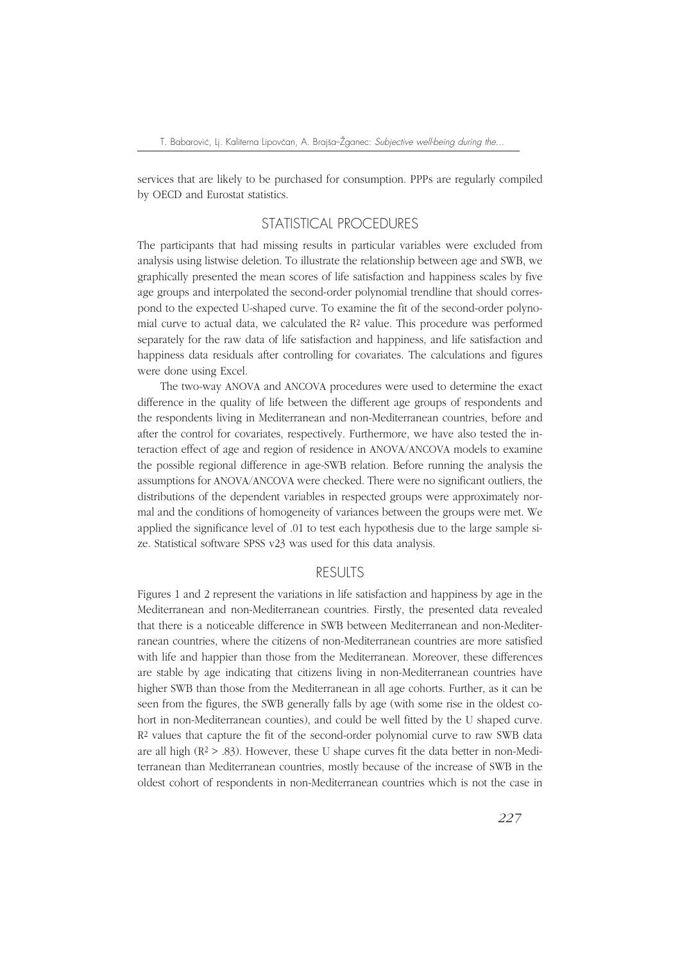services that are likely to be purchased for consumption. PPPs are regularly compiled by OECD and Eurostat statistics.

# STATISTICAL PROCEDURES

The participants that had missing results in particular variables were excluded from analysis using listwise deletion. To illustrate the relationship between age and SWB, we graphically presented the mean scores of life satisfaction and happiness scales by five age groups and interpolated the second-order polynomial trendline that should correspond to the expected U-shaped curve. To examine the fit of the second-order polynomial curve to actual data, we calculated the  $R<sup>2</sup>$  value. This procedure was performed separately for the raw data of life satisfaction and happiness, and life satisfaction and happiness data residuals after controlling for covariates. The calculations and figures were done using Excel.

The two-way ANOVA and ANCOVA procedures were used to determine the exact difference in the quality of life between the different age groups of respondents and the respondents living in Mediterranean and non-Mediterranean countries, before and after the control for covariates, respectively. Furthermore, we have also tested the interaction effect of age and region of residence in ANOVA/ANCOVA models to examine the possible regional difference in age-SWB relation. Before running the analysis the assumptions for ANOVA/ANCOVA were checked. There were no significant outliers, the distributions of the dependent variables in respected groups were approximately normal and the conditions of homogeneity of variances between the groups were met. We applied the significance level of .01 to test each hypothesis due to the large sample size. Statistical software SPSS v23 was used for this data analysis.

## RESULTS

Figures 1 and 2 represent the variations in life satisfaction and happiness by age in the Mediterranean and non-Mediterranean countries. Firstly, the presented data revealed that there is a noticeable difference in SWB between Mediterranean and non-Mediterranean countries, where the citizens of non-Mediterranean countries are more satisfied with life and happier than those from the Mediterranean. Moreover, these differences are stable by age indicating that citizens living in non-Mediterranean countries have higher SWB than those from the Mediterranean in all age cohorts. Further, as it can be seen from the figures, the SWB generally falls by age (with some rise in the oldest cohort in non-Mediterranean counties), and could be well fitted by the U shaped curve.  $R<sup>2</sup>$  values that capture the fit of the second-order polynomial curve to raw SWB data are all high ( $\mathbb{R}^2 > .83$ ). However, these U shape curves fit the data better in non-Mediterranean than Mediterranean countries, mostly because of the increase of SWB in the oldest cohort of respondents in non-Mediterranean countries which is not the case in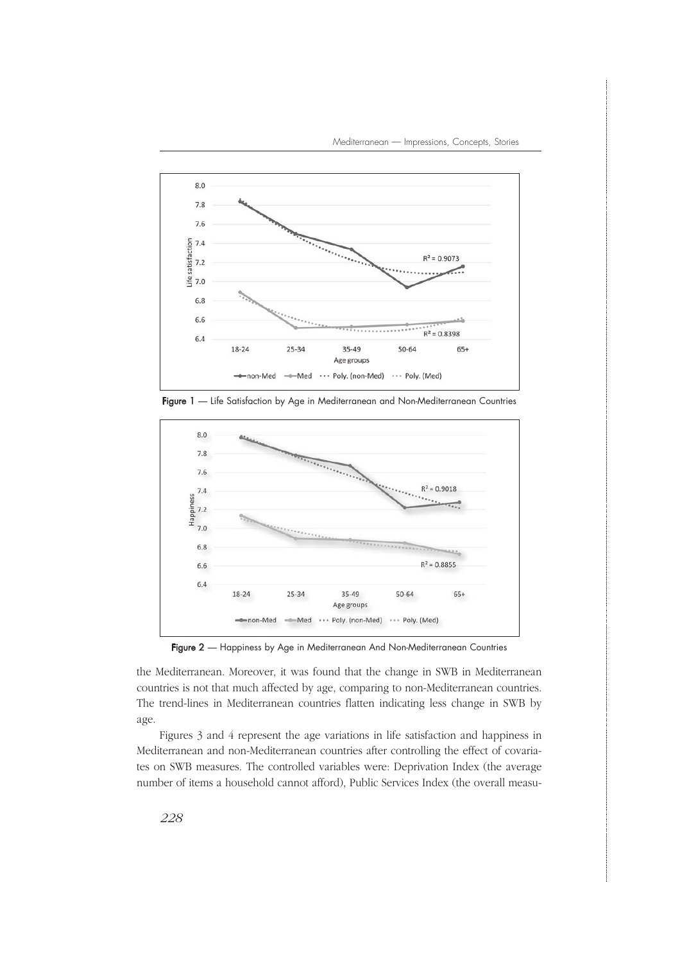

Figure 1 — Life Satisfaction by Age in Mediterranean and Non-Mediterranean Countries



Figure 2 - Happiness by Age in Mediterranean And Non-Mediterranean Countries

the Mediterranean. Moreover, it was found that the change in SWB in Mediterranean countries is not that much affected by age, comparing to non-Mediterranean countries. The trend-lines in Mediterranean countries flatten indicating less change in SWB by age.

Figures 3 and 4 represent the age variations in life satisfaction and happiness in Mediterranean and non-Mediterranean countries after controlling the effect of covariates on SWB measures. The controlled variables were: Deprivation Index (the average number of items a household cannot afford), Public Services Index (the overall measu-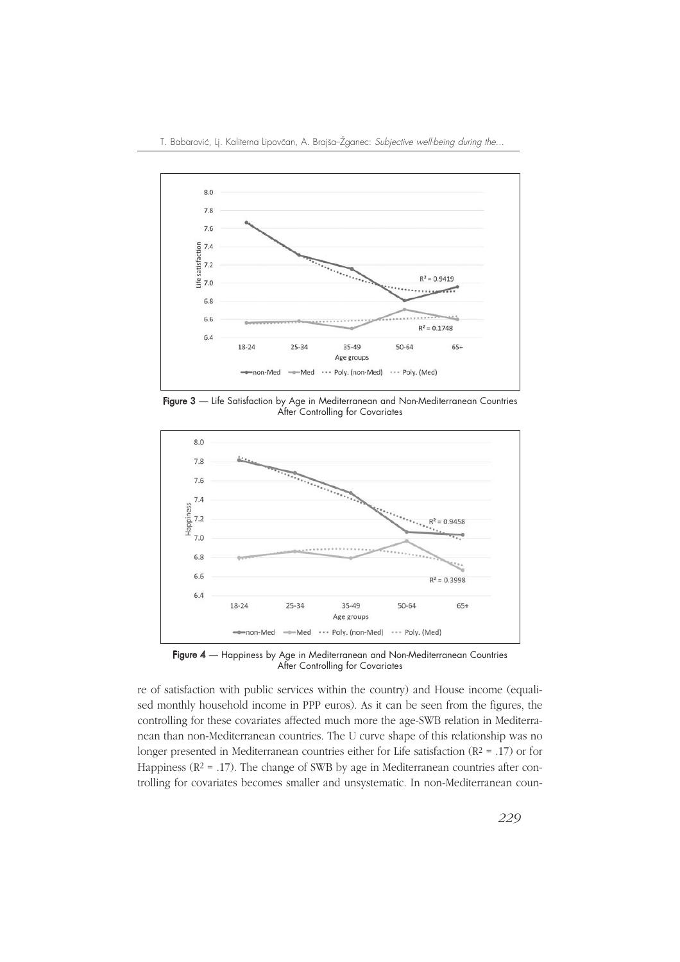

Figure 3 — Life Satisfaction by Age in Mediterranean and Non-Mediterranean Countries After Controlling for Covariates



Figure 4 — Happiness by Age in Mediterranean and Non-Mediterranean Countries After Controlling for Covariates

re of satisfaction with public services within the country) and House income (equalised monthly household income in PPP euros). As it can be seen from the figures, the controlling for these covariates affected much more the age-SWB relation in Mediterranean than non-Mediterranean countries. The U curve shape of this relationship was no longer presented in Mediterranean countries either for Life satisfaction ( $R^2$  = .17) or for Happiness ( $R^2$  = .17). The change of SWB by age in Mediterranean countries after controlling for covariates becomes smaller and unsystematic. In non-Mediterranean coun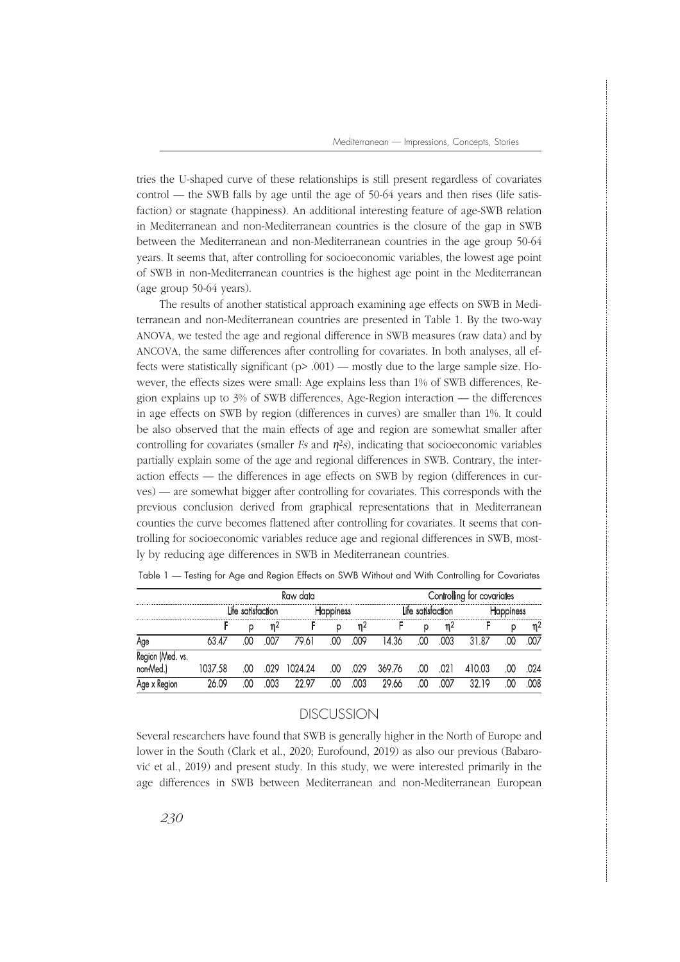tries the U-shaped curve of these relationships is still present regardless of covariates control — the SWB falls by age until the age of 50-64 years and then rises (life satisfaction) or stagnate (happiness). An additional interesting feature of age-SWB relation in Mediterranean and non-Mediterranean countries is the closure of the gap in SWB between the Mediterranean and non-Mediterranean countries in the age group 50-64 years. It seems that, after controlling for socioeconomic variables, the lowest age point of SWB in non-Mediterranean countries is the highest age point in the Mediterranean (age group 50-64 years).

The results of another statistical approach examining age effects on SWB in Mediterranean and non-Mediterranean countries are presented in Table 1. By the two-way ANOVA, we tested the age and regional difference in SWB measures (raw data) and by ANCOVA, the same differences after controlling for covariates. In both analyses, all effects were statistically significant (p> .001) — mostly due to the large sample size. However, the effects sizes were small: Age explains less than 1% of SWB differences, Region explains up to 3% of SWB differences, Age-Region interaction — the differences in age effects on SWB by region (differences in curves) are smaller than 1%. It could be also observed that the main effects of age and region are somewhat smaller after controlling for covariates (smaller  $Fs$  and  $\eta$ <sup>2</sup>s), indicating that socioeconomic variables partially explain some of the age and regional differences in SWB. Contrary, the interaction effects — the differences in age effects on SWB by region (differences in curves) — are somewhat bigger after controlling for covariates. This corresponds with the previous conclusion derived from graphical representations that in Mediterranean counties the curve becomes flattened after controlling for covariates. It seems that controlling for socioeconomic variables reduce age and regional differences in SWB, mostly by reducing age differences in SWB in Mediterranean countries.

|                                    | Kaw data       |          |      |         |     |      | tor covariates |     |      |      |          |     |
|------------------------------------|----------------|----------|------|---------|-----|------|----------------|-----|------|------|----------|-----|
|                                    | satistaction . |          |      | ness    |     |      | satistaction   |     |      |      |          |     |
|                                    |                | р        | n۷   |         | p   | η۷   |                | р   | η۷   |      | р        | n۷  |
|                                    |                |          |      |         | 0   | 009  | 36             |     | .003 | -87  |          | 007 |
| (Med. vs.<br>Kegiu.<br><b>Medi</b> | 7.58           | .00      | -029 | 1024.24 | .00 | .029 | 369.76         | .00 | .021 | 0.03 | .00      | 024 |
|                                    | ω              | $\alpha$ | 003  | -07     | œ   | 003  | 20 YY          | V   | M7   | 10   | $\alpha$ | MR  |

Table 1 — Testing for Age and Region Effects on SWB Without and With Controlling for Covariates

## DISCUSSION

Several researchers have found that SWB is generally higher in the North of Europe and lower in the South (Clark et al., 2020; Eurofound, 2019) as also our previous (Babarović et al., 2019) and present study. In this study, we were interested primarily in the age differences in SWB between Mediterranean and non-Mediterranean European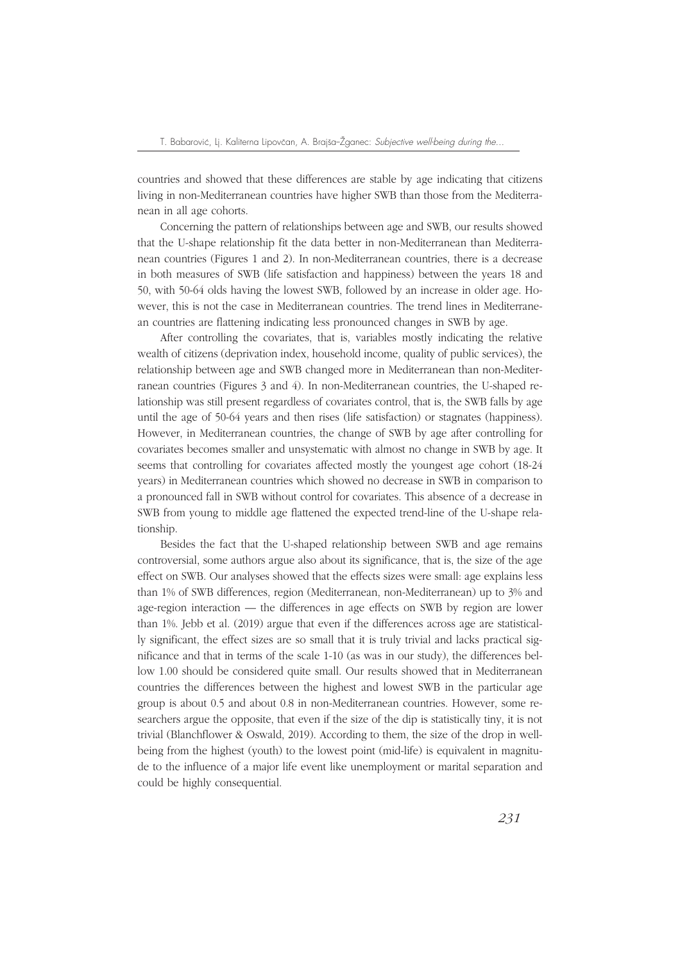countries and showed that these differences are stable by age indicating that citizens living in non-Mediterranean countries have higher SWB than those from the Mediterranean in all age cohorts.

Concerning the pattern of relationships between age and SWB, our results showed that the U-shape relationship fit the data better in non-Mediterranean than Mediterranean countries (Figures 1 and 2). In non-Mediterranean countries, there is a decrease in both measures of SWB (life satisfaction and happiness) between the years 18 and 50, with 50-64 olds having the lowest SWB, followed by an increase in older age. However, this is not the case in Mediterranean countries. The trend lines in Mediterranean countries are flattening indicating less pronounced changes in SWB by age.

After controlling the covariates, that is, variables mostly indicating the relative wealth of citizens (deprivation index, household income, quality of public services), the relationship between age and SWB changed more in Mediterranean than non-Mediterranean countries (Figures 3 and 4). In non-Mediterranean countries, the U-shaped relationship was still present regardless of covariates control, that is, the SWB falls by age until the age of 50-64 years and then rises (life satisfaction) or stagnates (happiness). However, in Mediterranean countries, the change of SWB by age after controlling for covariates becomes smaller and unsystematic with almost no change in SWB by age. It seems that controlling for covariates affected mostly the youngest age cohort (18-24 years) in Mediterranean countries which showed no decrease in SWB in comparison to a pronounced fall in SWB without control for covariates. This absence of a decrease in SWB from young to middle age flattened the expected trend-line of the U-shape relationship.

Besides the fact that the U-shaped relationship between SWB and age remains controversial, some authors argue also about its significance, that is, the size of the age effect on SWB. Our analyses showed that the effects sizes were small: age explains less than 1% of SWB differences, region (Mediterranean, non-Mediterranean) up to 3% and age-region interaction — the differences in age effects on SWB by region are lower than 1%. Jebb et al. (2019) argue that even if the differences across age are statistically significant, the effect sizes are so small that it is truly trivial and lacks practical significance and that in terms of the scale 1-10 (as was in our study), the differences bellow 1.00 should be considered quite small. Our results showed that in Mediterranean countries the differences between the highest and lowest SWB in the particular age group is about 0.5 and about 0.8 in non-Mediterranean countries. However, some researchers argue the opposite, that even if the size of the dip is statistically tiny, it is not trivial (Blanchflower & Oswald, 2019). According to them, the size of the drop in wellbeing from the highest (youth) to the lowest point (mid-life) is equivalent in magnitude to the influence of a major life event like unemployment or marital separation and could be highly consequential.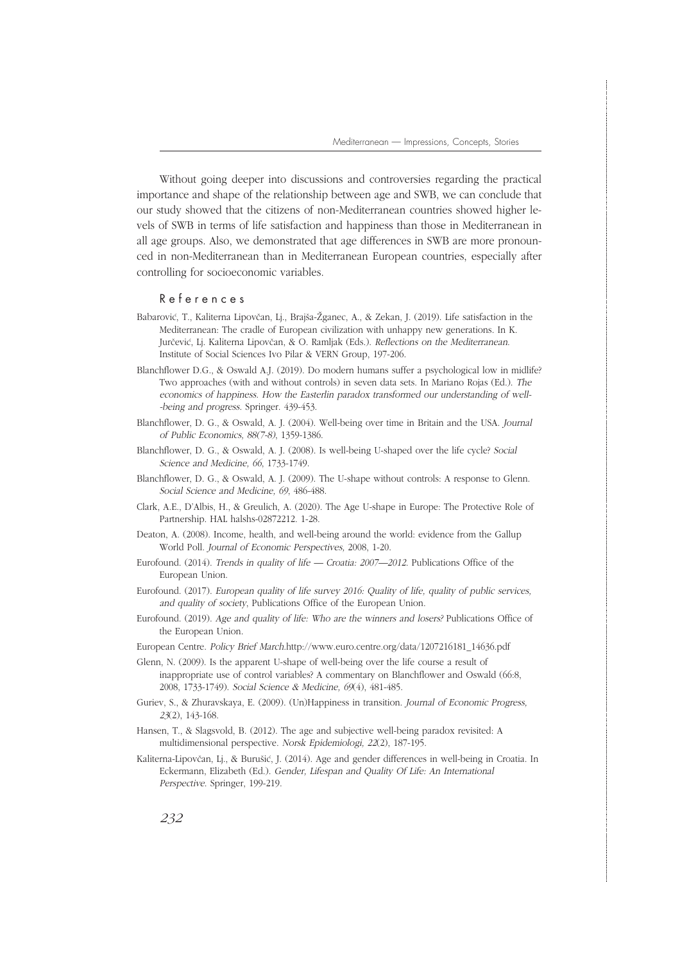Without going deeper into discussions and controversies regarding the practical importance and shape of the relationship between age and SWB, we can conclude that our study showed that the citizens of non-Mediterranean countries showed higher levels of SWB in terms of life satisfaction and happiness than those in Mediterranean in all age groups. Also, we demonstrated that age differences in SWB are more pronounced in non-Mediterranean than in Mediterranean European countries, especially after controlling for socioeconomic variables.

#### R e f e r e n c e s

- Babarović, T., Kaliterna Lipovčan, Lj., Brajša-Žganec, A., & Zekan, J. (2019). Life satisfaction in the Mediterranean: The cradle of European civilization with unhappy new generations. In K. Jurčević, Lj. Kaliterna Lipovčan, & O. Ramljak (Eds.). Reflections on the Mediterranean. Institute of Social Sciences Ivo Pilar & VERN Group, 197-206.
- Blanchflower D.G., & Oswald A.J. (2019). Do modern humans suffer a psychological low in midlife? Two approaches (with and without controls) in seven data sets. In Mariano Rojas (Ed.). The economics of happiness. How the Easterlin paradox transformed our understanding of well- -being and progress. Springer. 439-453.
- Blanchflower, D. G., & Oswald, A. J. (2004). Well-being over time in Britain and the USA. Journal of Public Economics, 88(7-8), 1359-1386.
- Blanchflower, D. G., & Oswald, A. J. (2008). Is well-being U-shaped over the life cycle? Social Science and Medicine, 66, 1733-1749.
- Blanchflower, D. G., & Oswald, A. J. (2009). The U-shape without controls: A response to Glenn. Social Science and Medicine, 69, 486-488.
- Clark, A.E., D'Albis, H., & Greulich, A. (2020). The Age U-shape in Europe: The Protective Role of Partnership. HAL halshs-02872212. 1-28.
- Deaton, A. (2008). Income, health, and well-being around the world: evidence from the Gallup World Poll. Journal of Economic Perspectives, 2008, 1-20.
- Eurofound. (2014). Trends in quality of life Croatia: 2007—2012. Publications Office of the European Union.
- Eurofound. (2017). European quality of life survey 2016: Quality of life, quality of public services, and quality of society, Publications Office of the European Union.
- Eurofound. (2019). Age and quality of life: Who are the winners and losers? Publications Office of the European Union.
- European Centre. Policy Brief March.http://www.euro.centre.org/data/1207216181\_14636.pdf
- Glenn, N. (2009). Is the apparent U-shape of well-being over the life course a result of inappropriate use of control variables? A commentary on Blanchflower and Oswald (66:8, 2008, 1733-1749). Social Science & Medicine, 69(4), 481-485.
- Guriev, S., & Zhuravskaya, E. (2009). (Un)Happiness in transition. Journal of Economic Progress, 23(2), 143-168.
- Hansen, T., & Slagsvold, B. (2012). The age and subjective well-being paradox revisited: A multidimensional perspective. Norsk Epidemiologi, 22(2), 187-195.
- Kaliterna-Lipovčan, Lj., & Burušić, J. (2014). Age and gender differences in well-being in Croatia. In Eckermann, Elizabeth (Ed.). Gender, Lifespan and Quality Of Life: An International Perspective. Springer, 199-219.